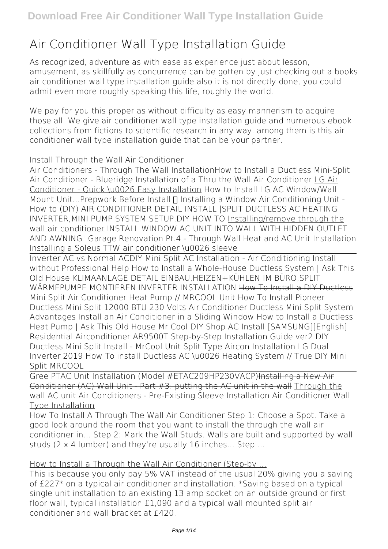# **Air Conditioner Wall Type Installation Guide**

As recognized, adventure as with ease as experience just about lesson, amusement, as skillfully as concurrence can be gotten by just checking out a books **air conditioner wall type installation guide** also it is not directly done, you could admit even more roughly speaking this life, roughly the world.

We pay for you this proper as without difficulty as easy mannerism to acquire those all. We give air conditioner wall type installation guide and numerous ebook collections from fictions to scientific research in any way. among them is this air conditioner wall type installation guide that can be your partner.

#### *Install Through the Wall Air Conditioner*

Air Conditioners - Through The Wall Installation**How to Install a Ductless Mini-Split Air Conditioner - Blueridge** *Installation of a Thru the Wall Air Conditioner* LG Air Conditioner - Quick \u0026 Easy Installation *How to Install LG AC Window/Wall Mount Unit...Prepwork Before Install* Π Installing a Window Air Conditioning Unit -How to (DIY) *AIR CONDITIONER DETAIL INSTALL |SPLIT DUCTLESS AC HEATING INVERTER,MINI PUMP SYSTEM SETUP,DIY HOW TO* Installing/remove through the wall air conditioner **INSTALL WINDOW AC UNIT INTO WALL WITH HIDDEN OUTLET AND AWNING! Garage Renovation Pt.4 - Through Wall Heat and AC Unit Installation** Installing a Soleus TTW air conditioner \u0026 sleeve

Inverter AC vs Normal AC*DIY Mini Split AC Installation - Air Conditioning Install without Professional Help How to Install a Whole-House Ductless System | Ask This Old House* **KLIMAANLAGE DETAIL EINBAU,HEIZEN+KÜHLEN IM BÜRO,SPLIT WÄRMEPUMPE MONTIEREN INVERTER INSTALLATION** How To Install a DIY Ductless Mini Split Air Conditioner Heat Pump // MRCOOL Unit **How To Install Pioneer Ductless Mini Split 12000 BTU 230 Volts Air Conditioner Ductless Mini Split System Advantages Install an Air Conditioner in a Sliding Window How to Install a Ductless Heat Pump | Ask This Old House** *Mr Cool DIY Shop AC Install* [SAMSUNG][English] Residential Airconditioner AR9500T Step-by-Step Installation Guide ver2 **DIY Ductless Mini Split Install - MrCool Unit** *Split Type Aircon Installation LG Dual Inverter 2019 How To install Ductless AC \u0026 Heating System // True DIY Mini Split MRCOOL*

Gree PTAC Unit Installation (Model #ETAC209HP230VACP)Installing a New Air Conditioner (AC) Wall Unit - Part #3: putting the AC unit in the wall Through the wall AC unit Air Conditioners - Pre-Existing Sleeve Installation Air Conditioner Wall Type Installation

How To Install A Through The Wall Air Conditioner Step 1: Choose a Spot. Take a good look around the room that you want to install the through the wall air conditioner in... Step 2: Mark the Wall Studs. Walls are built and supported by wall studs (2 x 4 lumber) and they're usually 16 inches... Step ...

### How to Install a Through the Wall Air Conditioner (Step-by ...

This is because you only pay 5% VAT instead of the usual 20% giving you a saving of £227\* on a typical air conditioner and installation. \*Saving based on a typical single unit installation to an existing 13 amp socket on an outside ground or first floor wall, typical installation £1,090 and a typical wall mounted split air conditioner and wall bracket at £420.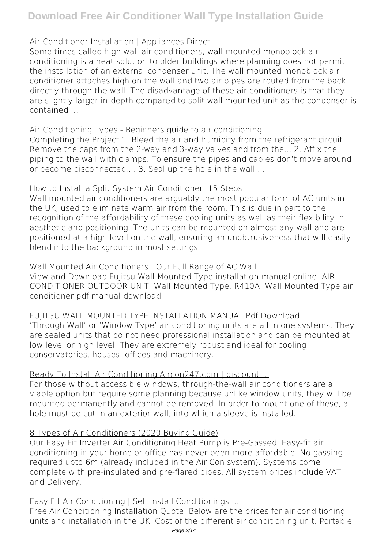## Air Conditioner Installation | Appliances Direct

Some times called high wall air conditioners, wall mounted monoblock air conditioning is a neat solution to older buildings where planning does not permit the installation of an external condenser unit. The wall mounted monoblock air conditioner attaches high on the wall and two air pipes are routed from the back directly through the wall. The disadvantage of these air conditioners is that they are slightly larger in-depth compared to split wall mounted unit as the condenser is contained ...

## Air Conditioning Types - Beginners guide to air conditioning

Completing the Project 1. Bleed the air and humidity from the refrigerant circuit. Remove the caps from the 2-way and 3-way valves and from the... 2. Affix the piping to the wall with clamps. To ensure the pipes and cables don't move around or become disconnected,... 3. Seal up the hole in the wall ...

## How to Install a Split System Air Conditioner: 15 Steps

Wall mounted air conditioners are arguably the most popular form of AC units in the UK, used to eliminate warm air from the room. This is due in part to the recognition of the affordability of these cooling units as well as their flexibility in aesthetic and positioning. The units can be mounted on almost any wall and are positioned at a high level on the wall, ensuring an unobtrusiveness that will easily blend into the background in most settings.

## Wall Mounted Air Conditioners | Our Full Range of AC Wall ...

View and Download Fujitsu Wall Mounted Type installation manual online. AIR CONDITIONER OUTDOOR UNIT, Wall Mounted Type, R410A. Wall Mounted Type air conditioner pdf manual download.

FUIITSU WALL MOUNTED TYPE INSTALLATION MANUAL Pdf Download ...

'Through Wall' or 'Window Type' air conditioning units are all in one systems. They are sealed units that do not need professional installation and can be mounted at low level or high level. They are extremely robust and ideal for cooling conservatories, houses, offices and machinery.

## Ready To Install Air Conditioning Aircon247.com | discount ...

For those without accessible windows, through-the-wall air conditioners are a viable option but require some planning because unlike window units, they will be mounted permanently and cannot be removed. In order to mount one of these, a hole must be cut in an exterior wall, into which a sleeve is installed.

## 8 Types of Air Conditioners (2020 Buying Guide)

Our Easy Fit Inverter Air Conditioning Heat Pump is Pre-Gassed. Easy-fit air conditioning in your home or office has never been more affordable. No gassing required upto 6m (already included in the Air Con system). Systems come complete with pre-insulated and pre-flared pipes. All system prices include VAT and Delivery.

## Easy Fit Air Conditioning | Self Install Conditionings ...

Free Air Conditioning Installation Quote. Below are the prices for air conditioning units and installation in the UK. Cost of the different air conditioning unit. Portable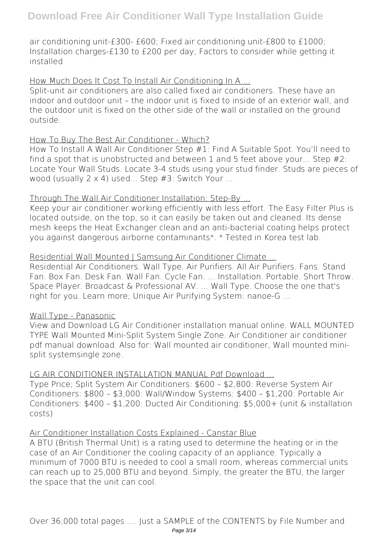air conditioning unit-£300- £600; Fixed air conditioning unit-£800 to £1000; Installation charges-£130 to £200 per day; Factors to consider while getting it installed

How Much Does It Cost To Install Air Conditioning In A ...

Split-unit air conditioners are also called fixed air conditioners. These have an indoor and outdoor unit – the indoor unit is fixed to inside of an exterior wall, and the outdoor unit is fixed on the other side of the wall or installed on the ground outside.

### How To Buy The Best Air Conditioner - Which?

How To Install A Wall Air Conditioner Step #1: Find A Suitable Spot. You'll need to find a spot that is unobstructed and between 1 and 5 feet above your... Step  $#2$ : Locate Your Wall Studs. Locate 3-4 studs using your stud finder. Studs are pieces of wood (usually 2 x 4) used... Step #3: Switch Your ...

#### Through The Wall Air Conditioner Installation: Step-By ...

Keep your air conditioner working efficiently with less effort. The Easy Filter Plus is located outside, on the top, so it can easily be taken out and cleaned. Its dense mesh keeps the Heat Exchanger clean and an anti-bacterial coating helps protect you against dangerous airborne contaminants\*. \* Tested in Korea test lab.

#### Residential Wall Mounted | Samsung Air Conditioner Climate ...

Residential Air Conditioners. Wall Type. Air Purifiers. All Air Purifiers. Fans. Stand Fan. Box Fan. Desk Fan. Wall Fan. Cycle Fan. ... Installation. Portable. Short Throw. Space Player. Broadcast & Professional AV. ... Wall Type. Choose the one that's right for you. Learn more; Unique Air Purifying System: nanoe-G ...

### Wall Type - Panasonic

View and Download LG Air Conditioner installation manual online. WALL MOUNTED TYPE Wall Mounted Mini-Split System Single Zone. Air Conditioner air conditioner pdf manual download. Also for: Wall mounted air conditioner, Wall mounted minisplit systemsingle zone.

### LG AIR CONDITIONER INSTALLATION MANUAL Pdf Download ...

Type Price; Split System Air Conditioners: \$600 – \$2,800: Reverse System Air Conditioners: \$800 – \$3,000: Wall/Window Systems: \$400 – \$1,200: Portable Air Conditioners: \$400 – \$1,200: Ducted Air Conditioning: \$5,000+ (unit & installation costs)

### Air Conditioner Installation Costs Explained - Canstar Blue

A BTU (British Thermal Unit) is a rating used to determine the heating or in the case of an Air Conditioner the cooling capacity of an appliance. Typically a minimum of 7000 BTU is needed to cool a small room, whereas commercial units can reach up to 25,000 BTU and beyond. Simply, the greater the BTU, the larger the space that the unit can cool.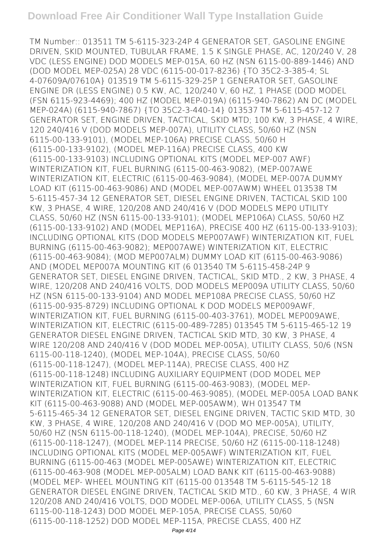TM Number:: 013511 TM 5-6115-323-24P 4 GENERATOR SET, GASOLINE ENGINE DRIVEN, SKID MOUNTED, TUBULAR FRAME, 1.5 K SINGLE PHASE, AC, 120/240 V, 28 VDC (LESS ENGINE) DOD MODELS MEP-015A, 60 HZ (NSN 6115-00-889-1446) AND (DOD MODEL MEP-025A) 28 VDC (6115-00-017-8236) {TO 35C2-3-385-4; SL 4-07609A/07610A} 013519 TM 5-6115-329-25P 1 GENERATOR SET, GASOLINE ENGINE DR (LESS ENGINE) 0.5 KW, AC, 120/240 V, 60 HZ, 1 PHASE (DOD MODEL (FSN 6115-923-4469); 400 HZ (MODEL MEP-019A) (6115-940-7862) AN DC (MODEL MEP-024A) (6115-940-7867) {TO 35C2-3-440-14} 013537 TM 5-6115-457-12 7 GENERATOR SET, ENGINE DRIVEN, TACTICAL, SKID MTD; 100 KW, 3 PHASE, 4 WIRE, 120 240/416 V (DOD MODELS MEP-007A), UTILITY CLASS, 50/60 HZ (NSN 6115-00-133-9101), (MODEL MEP-106A) PRECISE CLASS, 50/60 H (6115-00-133-9102), (MODEL MEP-116A) PRECISE CLASS, 400 KW (6115-00-133-9103) INCLUDING OPTIONAL KITS (MODEL MEP-007 AWF) WINTERIZATION KIT, FUEL BURNING (6115-00-463-9082), (MEP-007AWE WINTERIZATION KIT, ELECTRIC (6115-00-463-9084), (MODEL MEP-007A DUMMY LOAD KIT (6115-00-463-9086) AND (MODEL MEP-007AWM) WHEEL 013538 TM 5-6115-457-34 12 GENERATOR SET, DIESEL ENGINE DRIVEN, TACTICAL SKID 100 KW, 3 PHASE, 4 WIRE, 120/208 AND 240/416 V (DOD MODELS MEP0 UTILITY CLASS, 50/60 HZ (NSN 6115-00-133-9101); (MODEL MEP106A) CLASS, 50/60 HZ (6115-00-133-9102) AND (MODEL MEP116A), PRECISE 400 HZ (6115-00-133-9103); INCLUDING OPTIONAL KITS (DOD MODELS MEP007AWF) WINTERIZATION KIT, FUEL BURNING (6115-00-463-9082); MEP007AWE) WINTERIZATION KIT, ELECTRIC (6115-00-463-9084); (MOD MEP007ALM) DUMMY LOAD KIT (6115-00-463-9086) AND (MODEL MEP007A MOUNTING KIT (6 013540 TM 5-6115-458-24P 9 GENERATOR SET, DIESEL ENGINE DRIVEN, TACTICAL, SKID MTD., 2 KW, 3 PHASE, 4 WIRE, 120/208 AND 240/416 VOLTS, DOD MODELS MEP009A UTILITY CLASS, 50/60 HZ (NSN 6115-00-133-9104) AND MODEL MEP108A PRECISE CLASS, 50/60 HZ (6115-00-935-8729) INCLUDING OPTIONAL K DOD MODELS MEP009AWF, WINTERIZATION KIT, FUEL BURNING (6115-00-403-3761), MODEL MEP009AWE, WINTERIZATION KIT, ELECTRIC (6115-00-489-7285) 013545 TM 5-6115-465-12 19 GENERATOR DIESEL ENGINE DRIVEN, TACTICAL SKID MTD, 30 KW, 3 PHASE, 4 WIRE 120/208 AND 240/416 V (DOD MODEL MEP-005A), UTILITY CLASS, 50/6 (NSN 6115-00-118-1240), (MODEL MEP-104A), PRECISE CLASS, 50/60 (6115-00-118-1247), (MODEL MEP-114A), PRECISE CLASS, 400 HZ (6115-00-118-1248) INCLUDING AUXILIARY EQUIPMENT (DOD MODEL MEP WINTERIZATION KIT FUEL BURNING (6115-00-463-9083) (MODEL MEP-WINTERIZATION KIT, ELECTRIC (6115-00-463-9085), (MODEL MEP-005A LOAD BANK KIT (6115-00-463-9088) AND (MODEL MEP-005AWM), WH 013547 TM 5-6115-465-34 12 GENERATOR SET, DIESEL ENGINE DRIVEN, TACTIC SKID MTD, 30 KW, 3 PHASE, 4 WIRE, 120/208 AND 240/416 V (DOD MO MEP-005A), UTILITY, 50/60 HZ (NSN 6115-00-118-1240), (MODEL MEP-104A), PRECISE, 50/60 HZ (6115-00-118-1247), (MODEL MEP-114 PRECISE, 50/60 HZ (6115-00-118-1248) INCLUDING OPTIONAL KITS (MODEL MEP-005AWF) WINTERIZATION KIT, FUEL BURNING (6115-00-463 (MODEL MEP-005AWE) WINTERIZATION KIT, ELECTRIC (6115-00-463-908 (MODEL MEP-005ALM) LOAD BANK KIT (6115-00-463-9088) (MODEL MEP- WHEEL MOUNTING KIT (6115-00 013548 TM 5-6115-545-12 18 GENERATOR DIESEL ENGINE DRIVEN, TACTICAL SKID MTD., 60 KW, 3 PHASE, 4 WIR 120/208 AND 240/416 VOLTS, DOD MODEL MEP-006A, UTILITY CLASS, 5 (NSN 6115-00-118-1243) DOD MODEL MEP-105A, PRECISE CLASS, 50/60 (6115-00-118-1252) DOD MODEL MEP-115A, PRECISE CLASS, 400 HZ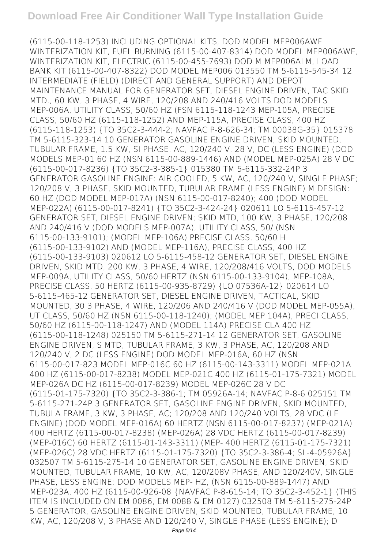(6115-00-118-1253) INCLUDING OPTIONAL KITS, DOD MODEL MEP006AWF WINTERIZATION KIT, FUEL BURNING (6115-00-407-8314) DOD MODEL MEP006AWE, WINTERIZATION KIT, ELECTRIC (6115-00-455-7693) DOD M MEP006ALM, LOAD BANK KIT (6115-00-407-8322) DOD MODEL MEP006 013550 TM 5-6115-545-34 12 INTERMEDIATE (FIELD) (DIRECT AND GENERAL SUPPORT) AND DEPOT MAINTENANCE MANUAL FOR GENERATOR SET, DIESEL ENGINE DRIVEN, TAC SKID MTD., 60 KW, 3 PHASE, 4 WIRE, 120/208 AND 240/416 VOLTS DOD MODELS MEP-006A, UTILITY CLASS, 50/60 HZ (FSN 6115-118-1243 MEP-105A, PRECISE CLASS, 50/60 HZ (6115-118-1252) AND MEP-115A, PRECISE CLASS, 400 HZ (6115-118-1253) {TO 35C2-3-444-2; NAVFAC P-8-626-34; TM 00038G-35} 015378 TM 5-6115-323-14 10 GENERATOR GASOLINE ENGINE DRIVEN, SKID MOUNTED, TUBULAR FRAME, 1.5 KW, SI PHASE, AC, 120/240 V, 28 V, DC (LESS ENGINE) (DOD MODELS MEP-01 60 HZ (NSN 6115-00-889-1446) AND (MODEL MEP-025A) 28 V DC (6115-00-017-8236) {TO 35C2-3-385-1} 015380 TM 5-6115-332-24P 3 GENERATOR GASOLINE ENGINE: AIR COOLED, 5 KW, AC, 120/240 V, SINGLE PHASE; 120/208 V, 3 PHASE, SKID MOUNTED, TUBULAR FRAME (LESS ENGINE) M DESIGN: 60 HZ (DOD MODEL MEP-017A) (NSN 6115-00-017-8240); 400 (DOD MODEL MEP-022A) (6115-00-017-8241) {TO 35C2-3-424-24} 020611 LO 5-6115-457-12 GENERATOR SET, DIESEL ENGINE DRIVEN; SKID MTD, 100 KW, 3 PHASE, 120/208 AND 240/416 V (DOD MODELS MEP-007A), UTILITY CLASS, 50/ (NSN 6115-00-133-9101); (MODEL MEP-106A) PRECISE CLASS, 50/60 H (6115-00-133-9102) AND (MODEL MEP-116A), PRECISE CLASS, 400 HZ (6115-00-133-9103) 020612 LO 5-6115-458-12 GENERATOR SET, DIESEL ENGINE DRIVEN, SKID MTD, 200 KW, 3 PHASE, 4 WIRE, 120/208/416 VOLTS, DOD MODELS MEP-009A, UTILITY CLASS, 50/60 HERTZ (NSN 6115-00-133-9104), MEP-108A, PRECISE CLASS, 50 HERTZ (6115-00-935-8729) {LO 07536A-12} 020614 LO 5-6115-465-12 GENERATOR SET, DIESEL ENGINE DRIVEN, TACTICAL, SKID MOUNTED, 30 3 PHASE, 4 WIRE, 120/206 AND 240/416 V (DOD MODEL MEP-055A), UT CLASS, 50/60 HZ (NSN 6115-00-118-1240); (MODEL MEP 104A), PRECI CLASS, 50/60 HZ (6115-00-118-1247) AND (MODEL 114A) PRECISE CLA 400 HZ (6115-00-118-1248) 025150 TM 5-6115-271-14 12 GENERATOR SET, GASOLINE ENGINE DRIVEN, S MTD, TUBULAR FRAME, 3 KW, 3 PHASE, AC, 120/208 AND 120/240 V, 2 DC (LESS ENGINE) DOD MODEL MEP-016A, 60 HZ (NSN 6115-00-017-823 MODEL MEP-016C 60 HZ (6115-00-143-3311) MODEL MEP-021A 400 HZ (6115-00-017-8238) MODEL MEP-021C 400 HZ (6115-01-175-7321) MODEL MEP-026A DC HZ (6115-00-017-8239) MODEL MEP-026C 28 V DC (6115-01-175-7320) {TO 35C2-3-386-1; TM 05926A-14; NAVFAC P-8-6 025151 TM 5-6115-271-24P 3 GENERATOR SET, GASOLINE ENGINE DRIVEN, SKID MOUNTED, TUBULA FRAME, 3 KW, 3 PHASE, AC; 120/208 AND 120/240 VOLTS, 28 VDC (LE ENGINE) (DOD MODEL MEP-016A) 60 HERTZ (NSN 6115-00-017-8237) (MEP-021A) 400 HERTZ (6115-00-017-8238) (MEP-026A) 28 VDC HERTZ (6115-00-017-8239) (MEP-016C) 60 HERTZ (6115-01-143-3311) (MEP- 400 HERTZ (6115-01-175-7321) (MEP-026C) 28 VDC HERTZ (6115-01-175-7320) {TO 35C2-3-386-4; SL-4-05926A} 032507 TM 5-6115-275-14 10 GENERATOR SET, GASOLINE ENGINE DRIVEN, SKID MOUNTED, TUBULAR FRAME, 10 KW, AC, 120/208V PHASE, AND 120/240V, SINGLE PHASE, LESS ENGINE: DOD MODELS MEP- HZ, (NSN 6115-00-889-1447) AND MEP-023A, 400 HZ (6115-00-926-08 {NAVFAC P-8-615-14; TO 35C2-3-452-1} (THIS ITEM IS INCLUDED ON EM 0086, EM 0088 & EM 0127) 032508 TM 5-6115-275-24P 5 GENERATOR, GASOLINE ENGINE DRIVEN, SKID MOUNTED, TUBULAR FRAME, 10 KW, AC, 120/208 V, 3 PHASE AND 120/240 V, SINGLE PHASE (LESS ENGINE); D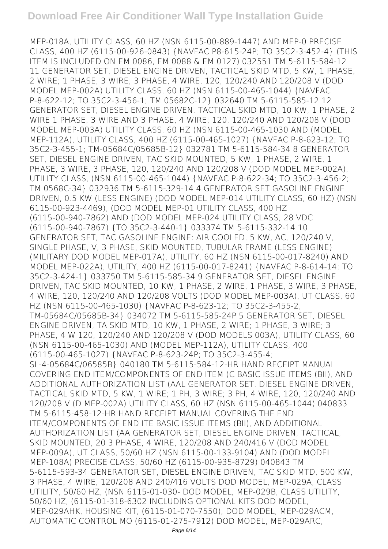MEP-018A, UTILITY CLASS, 60 HZ (NSN 6115-00-889-1447) AND MEP-0 PRECISE CLASS, 400 HZ (6115-00-926-0843) {NAVFAC P8-615-24P; TO 35C2-3-452-4} (THIS ITEM IS INCLUDED ON EM 0086, EM 0088 & EM 0127) 032551 TM 5-6115-584-12 11 GENERATOR SET, DIESEL ENGINE DRIVEN, TACTICAL SKID MTD, 5 KW, 1 PHASE, 2 WIRE; 1 PHASE, 3 WIRE; 3 PHASE, 4 WIRE, 120, 120/240 AND 120/208 V (DOD MODEL MEP-002A) UTILITY CLASS, 60 HZ (NSN 6115-00-465-1044) {NAVFAC P-8-622-12; TO 35C2-3-456-1; TM 05682C-12} 032640 TM 5-6115-585-12 12 GENERATOR SET, DIESEL ENGINE DRIVEN, TACTICAL SKID MTD, 10 KW, 1 PHASE, 2 WIRE 1 PHASE, 3 WIRE AND 3 PHASE, 4 WIRE; 120, 120/240 AND 120/208 V (DOD MODEL MEP-003A) UTILITY CLASS, 60 HZ (NSN 6115-00-465-1030 AND (MODEL MEP-112A), UTILITY CLASS, 400 HZ (6115-00-465-1027) {NAVFAC P-8-623-12; TO 35C2-3-455-1; TM-05684C/05685B-12} 032781 TM 5-6115-584-34 8 GENERATOR SET, DIESEL ENGINE DRIVEN, TAC SKID MOUNTED, 5 KW, 1 PHASE, 2 WIRE, 1 PHASE, 3 WIRE, 3 PHASE, 120, 120/240 AND 120/208 V (DOD MODEL MEP-002A), UTILITY CLASS, (NSN 6115-00-465-1044) {NAVFAC P-8-622-34; TO 35C2-3-456-2; TM 0568C-34} 032936 TM 5-6115-329-14 4 GENERATOR SET GASOLINE ENGINE DRIVEN, 0.5 KW (LESS ENGINE) (DOD MODEL MEP-014 UTILITY CLASS, 60 HZ) (NSN 6115-00-923-4469), (DOD MODEL MEP-01 UTILITY CLASS, 400 HZ (6115-00-940-7862) AND (DOD MODEL MEP-024 UTILITY CLASS, 28 VDC (6115-00-940-7867) {TO 35C2-3-440-1} 033374 TM 5-6115-332-14 10 GENERATOR SET, TAC GASOLINE ENGINE: AIR COOLED, 5 KW, AC, 120/240 V, SINGLE PHASE, V, 3 PHASE, SKID MOUNTED, TUBULAR FRAME (LESS ENGINE) (MILITARY DOD MODEL MEP-017A), UTILITY, 60 HZ (NSN 6115-00-017-8240) AND MODEL MEP-022A), UTILITY, 400 HZ (6115-00-017-8241) {NAVFAC P-8-614-14; TO 35C2-3-424-1} 033750 TM 5-6115-585-34 9 GENERATOR SET, DIESEL ENGINE DRIVEN, TAC SKID MOUNTED, 10 KW, 1 PHASE, 2 WIRE, 1 PHASE, 3 WIRE, 3 PHASE, 4 WIRE, 120, 120/240 AND 120/208 VOLTS (DOD MODEL MEP-003A), UT CLASS, 60 HZ (NSN 6115-00-465-1030) {NAVFAC P-8-623-12; TO 35C2-3-455-2; TM-05684C/05685B-34} 034072 TM 5-6115-585-24P 5 GENERATOR SET, DIESEL ENGINE DRIVEN, TA SKID MTD, 10 KW, 1 PHASE, 2 WIRE; 1 PHASE, 3 WIRE; 3 PHASE, 4 W 120, 120/240 AND 120/208 V (DOD MODELS 003A), UTILITY CLASS, 60 (NSN 6115-00-465-1030) AND (MODEL MEP-112A), UTILITY CLASS, 400 (6115-00-465-1027) {NAVFAC P-8-623-24P; TO 35C2-3-455-4; SL-4-05684C/06585B} 040180 TM 5-6115-584-12-HR HAND RECEIPT MANUAL COVERING END ITEM/COMPONENTS OF END ITEM (C BASIC ISSUE ITEMS (BII), AND ADDITIONAL AUTHORIZATION LIST (AAL GENERATOR SET, DIESEL ENGINE DRIVEN, TACTICAL SKID MTD, 5 KW, 1 WIRE; 1 PH, 3 WIRE; 3 PH, 4 WIRE, 120, 120/240 AND 120/208 V (D MEP-002A) UTILITY CLASS, 60 HZ (NSN 6115-00-465-1044) 040833 TM 5-6115-458-12-HR HAND RECEIPT MANUAL COVERING THE END ITEM/COMPONENTS OF END ITE BASIC ISSUE ITEMS (BII), AND ADDITIONAL AUTHORIZATION LIST (AA GENERATOR SET, DIESEL ENGINE DRIVEN, TACTICAL, SKID MOUNTED, 20 3 PHASE, 4 WIRE, 120/208 AND 240/416 V (DOD MODEL MEP-009A), UT CLASS, 50/60 HZ (NSN 6115-00-133-9104) AND (DOD MODEL MEP-108A) PRECISE CLASS, 50/60 HZ (6115-00-935-8729) 040843 TM 5-6115-593-34 GENERATOR SET, DIESEL ENGINE DRIVEN, TAC SKID MTD, 500 KW, 3 PHASE, 4 WIRE, 120/208 AND 240/416 VOLTS DOD MODEL, MEP-029A, CLASS UTILITY, 50/60 HZ, (NSN 6115-01-030- DOD MODEL, MEP-029B, CLASS UTILITY, 50/60 HZ, (6115-01-318-6302 INCLUDING OPTIONAL KITS DOD MODEL, MEP-029AHK, HOUSING KIT, (6115-01-070-7550), DOD MODEL, MEP-029ACM, AUTOMATIC CONTROL MO (6115-01-275-7912) DOD MODEL, MEP-029ARC,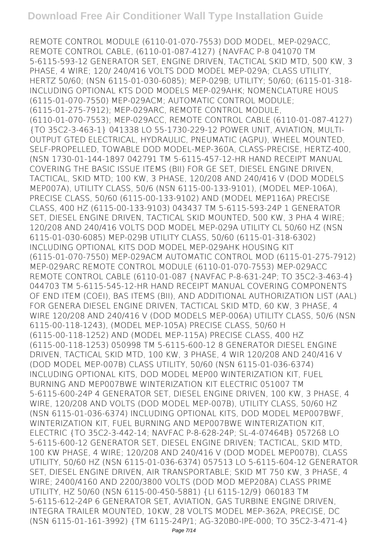REMOTE CONTROL MODULE (6110-01-070-7553) DOD MODEL, MEP-029ACC, REMOTE CONTROL CABLE, (6110-01-087-4127) {NAVFAC P-8 041070 TM 5-6115-593-12 GENERATOR SET, ENGINE DRIVEN, TACTICAL SKID MTD, 500 KW, 3 PHASE, 4 WIRE; 120/ 240/416 VOLTS DOD MODEL MEP-029A; CLASS UTILITY, HERTZ 50/60; (NSN 6115-01-030-6085); MEP-029B; UTILITY; 50/60; (6115-01-318- INCLUDING OPTIONAL KTS DOD MODELS MEP-029AHK; NOMENCLATURE HOUS (6115-01-070-7550) MEP-029ACM; AUTOMATIC CONTROL MODULE; (6115-01-275-7912); MEP-029ARC, REMOTE CONTROL MODULE, (6110-01-070-7553); MEP-029ACC, REMOTE CONTROL CABLE (6110-01-087-4127) {TO 35C2-3-463-1} 041338 LO 55-1730-229-12 POWER UNIT, AVIATION, MULTI-OUTPUT GTED ELECTRICAL, HYDRAULIC, PNEUMATIC (AGPU), WHEEL MOUNTED, SELF-PROPELLED, TOWABLE DOD MODEL-MEP-360A, CLASS-PRECISE, HERTZ-400, (NSN 1730-01-144-1897 042791 TM 5-6115-457-12-HR HAND RECEIPT MANUAL COVERING THE BASIC ISSUE ITEMS (BII) FOR GE SET, DIESEL ENGINE DRIVEN, TACTICAL, SKID MTD; 100 KW, 3 PHASE, 120/208 AND 240/416 V (DOD MODELS MEP007A), UTILITY CLASS, 50/6 (NSN 6115-00-133-9101), (MODEL MEP-106A), PRECISE CLASS, 50/60 (6115-00-133-9102) AND (MODEL MEP116A) PRECISE CLASS, 400 HZ (6115-00-133-9103) 043437 TM 5-6115-593-24P 1 GENERATOR SET, DIESEL ENGINE DRIVEN, TACTICAL SKID MOUNTED, 500 KW, 3 PHA 4 WIRE; 120/208 AND 240/416 VOLTS DOD MODEL MEP-029A UTILITY CL 50/60 HZ (NSN 6115-01-030-6085) MEP-029B UTILITY CLASS, 50/60 (6115-01-318-6302) INCLUDING OPTIONAL KITS DOD MODEL MEP-029AHK HOUSING KIT (6115-01-070-7550) MEP-029ACM AUTOMATIC CONTROL MOD (6115-01-275-7912) MEP-029ARC REMOTE CONTROL MODULE (6110-01-070-7553) MEP-029ACC REMOTE CONTROL CABLE (6110-01-087 {NAVFAC P-8-631-24P; TO 35C2-3-463-4} 044703 TM 5-6115-545-12-HR HAND RECEIPT MANUAL COVERING COMPONENTS OF END ITEM (COEI), BAS ITEMS (BII), AND ADDITIONAL AUTHORIZATION LIST (AAL) FOR GENERA DIESEL ENGINE DRIVEN, TACTICAL SKID MTD, 60 KW, 3 PHASE, 4 WIRE 120/208 AND 240/416 V (DOD MODELS MEP-006A) UTILITY CLASS, 50/6 (NSN 6115-00-118-1243), (MODEL MEP-105A) PRECISE CLASS, 50/60 H (6115-00-118-1252) AND (MODEL MEP-115A) PRECISE CLASS, 400 HZ (6115-00-118-1253) 050998 TM 5-6115-600-12 8 GENERATOR DIESEL ENGINE DRIVEN, TACTICAL SKID MTD, 100 KW, 3 PHASE, 4 WIR 120/208 AND 240/416 V (DOD MODEL MEP-007B) CLASS UTILITY, 50/60 (NSN 6115-01-036-6374) INCLUDING OPTIONAL KITS, DOD MODEL MEP00 WINTERIZATION KIT, FUEL BURNING AND MEP007BWE WINTERIZATION KIT ELECTRIC 051007 TM 5-6115-600-24P 4 GENERATOR SET, DIESEL ENGINE DRIVEN, 100 KW, 3 PHASE, 4 WIRE, 120/208 AND VOLTS (DOD MODEL MEP-007B), UTILITY CLASS, 50/60 HZ (NSN 6115-01-036-6374) INCLUDING OPTIONAL KITS, DOD MODEL MEP007BWF, WINTERIZATION KIT, FUEL BURNING AND MEP007BWE WINTERIZATION KIT, ELECTRIC {TO 35C2-3-442-14; NAVFAC P-8-628-24P; SL-4-07464B} 057268 LO 5-6115-600-12 GENERATOR SET, DIESEL ENGINE DRIVEN; TACTICAL, SKID MTD, 100 KW PHASE, 4 WIRE; 120/208 AND 240/416 V (DOD MODEL MEP007B), CLASS UTILITY, 50/60 HZ (NSN 6115-01-036-6374) 057513 LO 5-6115-604-12 GENERATOR SET, DIESEL ENGINE DRIVEN, AIR TRANSPORTABLE; SKID MT 750 KW, 3 PHASE, 4 WIRE; 2400/4160 AND 2200/3800 VOLTS (DOD MOD MEP208A) CLASS PRIME UTILITY, HZ 50/60 (NSN 6115-00-450-5881) {LI 6115-12/9} 060183 TM 5-6115-612-24P 6 GENERATOR SET, AVIATION, GAS TURBINE ENGINE DRIVEN, INTEGRA TRAILER MOUNTED, 10KW, 28 VOLTS MODEL MEP-362A, PRECISE, DC (NSN 6115-01-161-3992) {TM 6115-24P/1; AG-320B0-IPE-000; TO 35C2-3-471-4}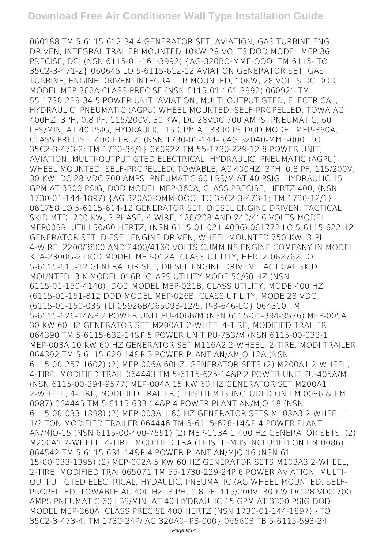060188 TM 5-6115-612-34 4 GENERATOR SET, AVIATION, GAS TURBINE ENG DRIVEN, INTEGRAL TRAILER MOUNTED 10KW 28 VOLTS DOD MODEL MEP 36 PRECISE, DC, (NSN 6115-01-161-3992) {AG-320BO-MME-OOO; TM 6115- TO 35C2-3-471-2} 060645 LO 5-6115-612-12 AVIATION GENERATOR SET, GAS TURBINE, ENGINE DRIVEN, INTEGRAL TR MOUNTED, 10KW, 28 VOLTS DC DOD MODEL MEP 362A CLASS PRECISE (NSN 6115-01-161-3992) 060921 TM 55-1730-229-34 5 POWER UNIT, AVIATION, MULTI-OUTPUT GTED, ELECTRICAL, HYDRAULIC, PNEUMATIC (AGPU) WHEEL MOUNTED, SELF-PROPELLED, TOWA AC 400HZ, 3PH, 0.8 PF, 115/200V, 30 KW, DC 28VDC 700 AMPS, PNEUMATIC, 60 LBS/MIN. AT 40 PSIG, HYDRAULIC, 15 GPM AT 3300 PS DOD MODEL MEP-360A, CLASS PRECISE, 400 HERTZ, (NSN 1730-01-144- {AG 320A0-MME-000; TO 35C2-3-473-2; TM 1730-34/1} 060922 TM 55-1730-229-12 8 POWER UNIT, AVIATION, MULTI-OUTPUT GTED ELECTRICAL, HYDRAULIC, PNEUMATIC (AGPU) WHEEL MOUNTED, SELF-PROPELLED, TOWABLE, AC 400HZ, 3PH, 0.8 PF, 115/200V, 30 KW, DC 28 VDC 700 AMPS, PNEUMATIC 60 LBS/M AT 40 PSIG, HYDRAULIC 15 GPM AT 3300 PSIG, DOD MODEL MEP-360A, CLASS PRECISE, HERTZ 400, (NSN 1730-01-144-1897) {AG 320A0-OMM-OOO; TO 35C2-3-473-1; TM 1730-12/1} 061758 LO 5-6115-614-12 GENERATOR SET, DIESEL ENGINE DRIVEN, TACTICAL SKID MTD. 200 KW, 3 PHASE, 4 WIRE, 120/208 AND 240/416 VOLTS MODEL MEP009B, UTILI 50/60 HERTZ, (NSN 6115-01-021-4096) 061772 LO 5-6115-622-12 GENERATOR SET, DIESEL ENGINE-DRIVEN, WHEEL MOUNTED 750-KW, 3-PH 4-WIRE, 2200/3800 AND 2400/4160 VOLTS CUMMINS ENGINE COMPANY IN MODEL KTA-2300G-2 DOD MODEL MEP-012A; CLASS UTILITY; HERTZ 062762 LO 5-6115-615-12 GENERATOR SET, DIESEL ENGINE DRIVEN, TACTICAL SKID MOUNTED, 3 K MODEL 016B; CLASS UTILITY MODE 50/60 HZ (NSN 6115-01-150-4140); DOD MODEL MEP-021B; CLASS UTILITY; MODE 400 HZ (6115-01-151-812 DOD MODEL MEP-026B; CLASS UTILITY; MODE 28 VDC (6115-01-150-036 {LI 05926B/06509B-12/5; P-8-646-LO} 064310 TM 5-6115-626-14&P 2 POWER UNIT PU-406B/M (NSN 6115-00-394-9576) MEP-005A 30 KW 60 HZ GENERATOR SET M200A1 2-WHEEL4-TIRE, MODIFIED TRAILER 064390 TM 5-6115-632-14&P 5 POWER UNIT PU-753/M (NSN 6115-00-033-1 MEP-003A 10 KW 60 HZ GENERATOR SET M116A2 2-WHEEL, 2-TIRE, MODI TRAILER 064392 TM 5-6115-629-14&P 3 POWER PLANT AN/AMJQ-12A (NSN 6115-00-257-1602) (2) MEP-006A 60HZ, GENERATOR SETS (2) M200A1 2-WHEEL, 4-TIRE, MODIFIED TRAIL 064443 TM 5-6115-625-14&P 2 POWER UNIT PU-405A/M (NSN 6115-00-394-9577) MEP-004A 15 KW 60 HZ GENERATOR SET M200A1 2-WHEEL, 4-TIRE, MODIFIED TRAILER (THIS ITEM IS INCLUDED ON EM 0086 & EM 0087) 064445 TM 5-6115-633-14&P 4 POWER PLANT AN/MJQ-18 (NSN 6115-00-033-1398) (2) MEP-003A 1 60 HZ GENERATOR SETS M103A3 2-WHEEL 1 1/2 TON MODIFIED TRAILER 064446 TM 5-6115-628-14&P 4 POWER PLANT AN/MJQ-15 (NSN 6115-00-400-7591) (2) MEP-113A 1 400 HZ GENERATOR SETS, (2) M200A1 2-WHEEL, 4-TIRE, MODIFIED TRA (THIS ITEM IS INCLUDED ON EM 0086) 064542 TM 5-6115-631-14&P 4 POWER PLANT AN/MJQ-16 (NSN 61 15-00-033-1395) (2) MEP-002A 5 KW 60 HZ GENERATOR SETS M103A3 2-WHEEL, 2-TIRE, MODIFIED TRAI 065071 TM 55-1730-229-24P 6 POWER AVIATION, MULTI-OUTPUT GTED ELECTRICAL, HYDAULIC, PNEUMATIC (AG WHEEL MOUNTED, SELF-PROPELLED, TOWABLE AC 400 HZ, 3 PH, 0.8 PF, 115/200V, 30 KW DC 28 VDC 700 AMPS PNEUMATIC 60 LBS/MIN. AT 40 HYDRAULIC 15 GPM AT 3300 PSIG DOD MODEL MEP-360A, CLASS PRECISE 400 HERTZ (NSN 1730-01-144-1897) {TO 35C2-3-473-4; TM 1730-24P/ AG 320A0-IPB-000} 065603 TB 5-6115-593-24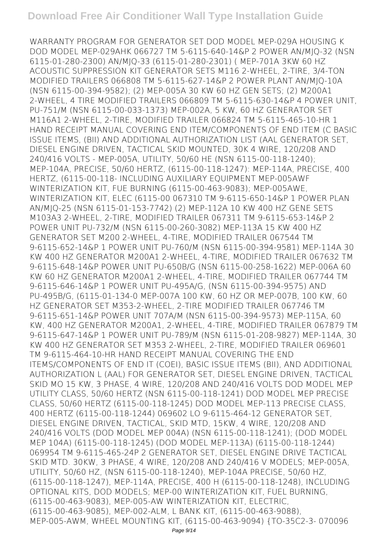WARRANTY PROGRAM FOR GENERATOR SET DOD MODEL MEP-029A HOUSING K DOD MODEL MEP-029AHK 066727 TM 5-6115-640-14&P 2 POWER AN/MJQ-32 (NSN 6115-01-280-2300) AN/MJQ-33 (6115-01-280-2301) ( MEP-701A 3KW 60 HZ ACOUSTIC SUPPRESSION KIT GENERATOR SETS M116 2-WHEEL, 2-TIRE, 3/4-TON MODIFIED TRAILERS 066808 TM 5-6115-627-14&P 2 POWER PLANT AN/MJQ-10A (NSN 6115-00-394-9582); (2) MEP-005A 30 KW 60 HZ GEN SETS; (2) M200A1 2-WHEEL, 4 TIRE MODIFIED TRAILERS 066809 TM 5-6115-630-14&P 4 POWER UNIT, PU-751/M (NSN 6115-00-033-1373) MEP-002A, 5 KW, 60 HZ GENERATOR SET M116A1 2-WHEEL, 2-TIRE, MODIFIED TRAILER 066824 TM 5-6115-465-10-HR 1 HAND RECEIPT MANUAL COVERING END ITEM/COMPONENTS OF END ITEM (C BASIC ISSUE ITEMS, (BII) AND ADDITIONAL AUTHORIZATION LIST (AAL GENERATOR SET, DIESEL ENGINE DRIVEN, TACTICAL SKID MOUNTED, 30K 4 WIRE, 120/208 AND 240/416 VOLTS - MEP-005A, UTILITY, 50/60 HE (NSN 6115-00-118-1240); MEP-104A, PRECISE, 50/60 HERTZ, (6115-00-118-1247): MEP-114A, PRECISE, 400 HERTZ, (6115-00-118- INCLUDING AUXILIARY EQUIPMENT MEP-005AWF WINTERIZATION KIT, FUE BURNING (6115-00-463-9083); MEP-005AWE, WINTERIZATION KIT, ELEC (6115-00 067310 TM 9-6115-650-14&P 1 POWER PLAN AN/MJQ-25 (NSN 6115-01-153-7742) (2) MEP-112A 10 KW 400 HZ GENE SETS M103A3 2-WHEEL, 2-TIRE, MODIFIED TRAILER 067311 TM 9-6115-653-14&P 2 POWER UNIT PU-732/M (NSN 6115-00-260-3082) MEP-113A 15 KW 400 HZ GENERATOR SET M200 2-WHEEL, 4-TIRE, MODIFIED TRAILER 067544 TM 9-6115-652-14&P 1 POWER UNIT PU-760/M (NSN 6115-00-394-9581) MEP-114A 30 KW 400 HZ GENERATOR M200A1 2-WHEEL, 4-TIRE, MODIFIED TRAILER 067632 TM 9-6115-648-14&P POWER UNIT PU-650B/G (NSN 6115-00-258-1622) MEP-006A 60 KW 60 HZ GENERATOR M200A1 2-WHEEL, 4-TIRE, MODIFIED TRAILER 067744 TM 9-6115-646-14&P 1 POWER UNIT PU-495A/G, (NSN 6115-00-394-9575) AND PU-495B/G, (6115-01-134-0 MEP-007A 100 KW, 60 HZ OR MEP-007B, 100 KW, 60 HZ GENERATOR SET M353-2-WHEEL, 2-TIRE MODIFIED TRAILER 067746 TM 9-6115-651-14&P POWER UNIT 707A/M (NSN 6115-00-394-9573) MEP-115A, 60 KW, 400 HZ GENERATOR M200A1, 2-WHEEL, 4-TIRE, MODIFIED TRAILER 067879 TM 9-6115-647-14&P 1 POWER UNIT PU-789/M (NSN 6115-01-208-9827) MEP-114A, 30 KW 400 HZ GENERATOR SET M353 2-WHEEL, 2-TIRE, MODIFIED TRAILER 069601 TM 9-6115-464-10-HR HAND RECEIPT MANUAL COVERING THE END ITEMS/COMPONENTS OF END IT (COEI), BASIC ISSUE ITEMS (BII), AND ADDITIONAL AUTHORIZATION L (AAL) FOR GENERATOR SET, DIESEL ENGINE DRIVEN, TACTICAL SKID MO 15 KW, 3 PHASE, 4 WIRE, 120/208 AND 240/416 VOLTS DOD MODEL MEP UTILITY CLASS, 50/60 HERTZ (NSN 6115-00-118-1241) DOD MODEL MEP PRECISE CLASS, 50/60 HERTZ (6115-00-118-1245) DOD MODEL MEP-113 PRECISE CLASS, 400 HERTZ (6115-00-118-1244) 069602 LO 9-6115-464-12 GENERATOR SET, DIESEL ENGINE DRIVEN, TACTICAL, SKID MTD, 15KW, 4 WIRE, 120/208 AND 240/416 VOLTS (DOD MODEL MEP 004A) (NSN 6115-00-118-1241); (DOD MODEL MEP 104A) (6115-00-118-1245) (DOD MODEL MEP-113A) (6115-00-118-1244) 069954 TM 9-6115-465-24P 2 GENERATOR SET, DIESEL ENGINE DRIVE TACTICAL SKID MTD. 30KW, 3 PHASE, 4 WIRE, 120/208 AND 240/416 V MODELS; MEP-005A, UTILITY, 50/60 HZ, (NSN 6115-00-118-1240), MEP-104A PRECISE, 50/60 HZ, (6115-00-118-1247), MEP-114A, PRECISE, 400 H (6115-00-118-1248), INCLUDING OPTIONAL KITS, DOD MODELS; MEP-00 WINTERIZATION KIT, FUEL BURNING, (6115-00-463-9083), MEP-005-AW WINTERIZATION KIT, ELECTRIC, (6115-00-463-9085), MEP-002-ALM, L BANK KIT, (6115-00-463-9088), MEP-005-AWM, WHEEL MOUNTING KIT, (6115-00-463-9094) {TO-35C2-3- 070096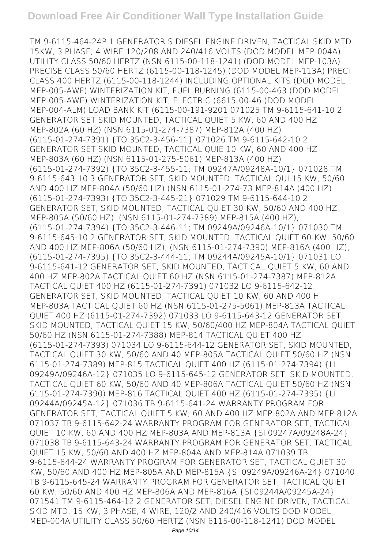TM 9-6115-464-24P 1 GENERATOR S DIESEL ENGINE DRIVEN, TACTICAL SKID MTD., 15KW, 3 PHASE, 4 WIRE 120/208 AND 240/416 VOLTS (DOD MODEL MEP-004A) UTILITY CLASS 50/60 HERTZ (NSN 6115-00-118-1241) (DOD MODEL MEP-103A) PRECISE CLASS 50/60 HERTZ (6115-00-118-1245) (DOD MODEL MEP-113A) PRECI CLASS 400 HERTZ (6115-00-118-1244) INCLUDING OPTIONAL KITS (DOD MODEL MEP-005-AWF) WINTERIZATION KIT, FUEL BURNING (6115-00-463 (DOD MODEL MEP-005-AWE) WINTERIZATION KIT, ELECTRIC (6615-00-46 (DOD MODEL MEP-004-ALM) LOAD BANK KIT (6115-00-191-9201 071025 TM 9-6115-641-10 2 GENERATOR SET SKID MOUNTED, TACTICAL QUIET 5 KW, 60 AND 400 HZ MEP-802A (60 HZ) (NSN 6115-01-274-7387) MEP-812A (400 HZ) (6115-01-274-7391) {TO 35C2-3-456-11} 071026 TM 9-6115-642-10 2 GENERATOR SET SKID MOUNTED, TACTICAL QUIE 10 KW, 60 AND 400 HZ MEP-803A (60 HZ) (NSN 6115-01-275-5061) MEP-813A (400 HZ) (6115-01-274-7392) {TO 35C2-3-455-11; TM 09247A/09248A-10/1} 071028 TM 9-6115-643-10 3 GENERATOR SET, SKID MOUNTED, TACTICAL QUI 15 KW, 50/60 AND 400 HZ MEP-804A (50/60 HZ) (NSN 6115-01-274-73 MEP-814A (400 HZ) (6115-01-274-7393) {TO 35C2-3-445-21} 071029 TM 9-6115-644-10 2 GENERATOR SET, SKID MOUNTED, TACTICAL QUIET 30 KW, 50/60 AND 400 HZ MEP-805A (50/60 HZ), (NSN 6115-01-274-7389) MEP-815A (400 HZ), (6115-01-274-7394) {TO 35C2-3-446-11; TM 09249A/09246A-10/1} 071030 TM 9-6115-645-10 2 GENERATOR SET, SKID MOUNTED, TACTICAL QUIET 60 KW, 50/60 AND 400 HZ MEP-806A (50/60 HZ), (NSN 6115-01-274-7390) MEP-816A (400 HZ), (6115-01-274-7395) {TO 35C2-3-444-11; TM 09244A/09245A-10/1} 071031 LO 9-6115-641-12 GENERATOR SET, SKID MOUNTED, TACTICAL QUIET 5 KW, 60 AND 400 HZ MEP-802A TACTICAL QUIET 60 HZ (NSN 6115-01-274-7387) MEP-812A TACTICAL QUIET 400 HZ (6115-01-274-7391) 071032 LO 9-6115-642-12 GENERATOR SET, SKID MOUNTED, TACTICAL QUIET 10 KW, 60 AND 400 H MEP-803A TACTICAL QUIET 60 HZ (NSN 6115-01-275-5061) MEP-813A TACTICAL QUIET 400 HZ (6115-01-274-7392) 071033 LO 9-6115-643-12 GENERATOR SET, SKID MOUNTED, TACTICAL QUIET 15 KW, 50/60/400 HZ MEP-804A TACTICAL QUIET 50/60 HZ (NSN 6115-01-274-7388) MEP-814 TACTICAL QUIET 400 HZ (6115-01-274-7393) 071034 LO 9-6115-644-12 GENERATOR SET, SKID MOUNTED, TACTICAL QUIET 30 KW, 50/60 AND 40 MEP-805A TACTICAL QUIET 50/60 HZ (NSN 6115-01-274-7389) MEP-815 TACTICAL QUIET 400 HZ (6115-01-274-7394) {LI 09249A/09246A-12} 071035 LO 9-6115-645-12 GENERATOR SET, SKID MOUNTED, TACTICAL QUIET 60 KW, 50/60 AND 40 MEP-806A TACTICAL QUIET 50/60 HZ (NSN 6115-01-274-7390) MEP-816 TACTICAL QUIET 400 HZ (6115-01-274-7395) {LI 09244A/09245A-12} 071036 TB 9-6115-641-24 WARRANTY PROGRAM FOR GENERATOR SET, TACTICAL QUIET 5 KW, 60 AND 400 HZ MEP-802A AND MEP-812A 071037 TB 9-6115-642-24 WARRANTY PROGRAM FOR GENERATOR SET, TACTICAL QUIET 10 KW, 60 AND 400 HZ MEP-803A AND MEP-813A {SI 09247A/09248A-24} 071038 TB 9-6115-643-24 WARRANTY PROGRAM FOR GENERATOR SET, TACTICAL QUIET 15 KW, 50/60 AND 400 HZ MEP-804A AND MEP-814A 071039 TB 9-6115-644-24 WARRANTY PROGRAM FOR GENERATOR SET, TACTICAL QUIET 30 KW, 50/60 AND 400 HZ MEP-805A AND MEP-815A {SI 09249A/09246A-24} 071040 TB 9-6115-645-24 WARRANTY PROGRAM FOR GENERATOR SET, TACTICAL QUIET 60 KW, 50/60 AND 400 HZ MEP-806A AND MEP-816A {SI 09244A/09245A-24} 071541 TM 9-6115-464-12 2 GENERATOR SET, DIESEL ENGINE DRIVEN, TACTICAL SKID MTD, 15 KW, 3 PHASE, 4 WIRE, 120/2 AND 240/416 VOLTS DOD MODEL MED-004A UTILITY CLASS 50/60 HERTZ (NSN 6115-00-118-1241) DOD MODEL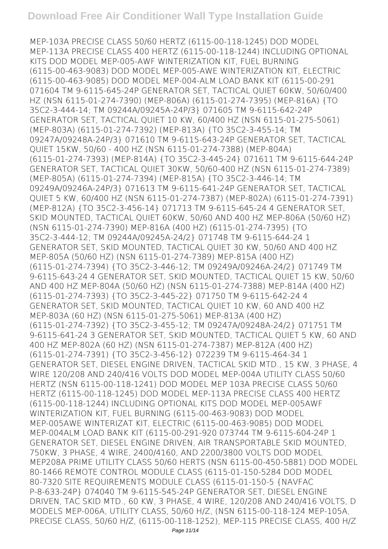MEP-103A PRECISE CLASS 50/60 HERTZ (6115-00-118-1245) DOD MODEL MEP-113A PRECISE CLASS 400 HERTZ (6115-00-118-1244) INCLUDING OPTIONAL KITS DOD MODEL MEP-005-AWF WINTERIZATION KIT, FUEL BURNING (6115-00-463-9083) DOD MODEL MEP-005-AWE WINTERIZATION KIT, ELECTRIC (6115-00-463-9085) DOD MODEL MEP-004-ALM LOAD BANK KIT (6115-00-291 071604 TM 9-6115-645-24P GENERATOR SET, TACTICAL QUIET 60KW, 50/60/400 HZ (NSN 6115-01-274-7390) (MEP-806A) (6115-01-274-7395) (MEP-816A) {TO 35C2-3-444-14; TM 09244A/09245A-24P/3} 071605 TM 9-6115-642-24P GENERATOR SET, TACTICAL QUIET 10 KW, 60/400 HZ (NSN 6115-01-275-5061) (MEP-803A) (6115-01-274-7392) (MEP-813A) {TO 35C2-3-455-14; TM 09247A/09248A-24P/3} 071610 TM 9-6115-643-24P GENERATOR SET, TACTICAL QUIET 15KW, 50/60 - 400 HZ (NSN 6115-01-274-7388) (MEP-804A) (6115-01-274-7393) (MEP-814A) {TO 35C2-3-445-24} 071611 TM 9-6115-644-24P GENERATOR SET, TACTICAL QUIET 30KW, 50/60-400 HZ (NSN 6115-01-274-7389) (MEP-805A) (6115-01-274-7394) (MEP-815A) {TO 35C2-3-446-14; TM 09249A/09246A-24P/3} 071613 TM 9-6115-641-24P GENERATOR SET, TACTICAL QUIET 5 KW, 60/400 HZ (NSN 6115-01-274-7387) (MEP-802A) (6115-01-274-7391) (MEP-812A) {TO 35C2-3-456-14} 071713 TM 9-6115-645-24 4 GENERATOR SET, SKID MOUNTED, TACTICAL QUIET 60KW, 50/60 AND 400 HZ MEP-806A (50/60 HZ) (NSN 6115-01-274-7390) MEP-816A (400 HZ) (6115-01-274-7395) {TO 35C2-3-444-12; TM 09244A/09245A-24/2} 071748 TM 9-6115-644-24 1 GENERATOR SET, SKID MOUNTED, TACTICAL QUIET 30 KW, 50/60 AND 400 HZ MEP-805A (50/60 HZ) (NSN 6115-01-274-7389) MEP-815A (400 HZ) (6115-01-274-7394) {TO 35C2-3-446-12; TM 09249A/09246A-24/2} 071749 TM 9-6115-643-24 4 GENERATOR SET, SKID MOUNTED, TACTICAL QUIET 15 KW, 50/60 AND 400 HZ MEP-804A (50/60 HZ) (NSN 6115-01-274-7388) MEP-814A (400 HZ) (6115-01-274-7393) {TO 35C2-3-445-22} 071750 TM 9-6115-642-24 4 GENERATOR SET, SKID MOUNTED, TACTICAL QUIET 10 KW, 60 AND 400 HZ MEP-803A (60 HZ) (NSN 6115-01-275-5061) MEP-813A (400 HZ) (6115-01-274-7392) {TO 35C2-3-455-12; TM 09247A/09248A-24/2} 071751 TM 9-6115-641-24 3 GENERATOR SET, SKID MOUNTED, TACTICAL QUIET 5 KW, 60 AND 400 HZ MEP-802A (60 HZ) (NSN 6115-01-274-7387) MEP-812A (400 HZ) (6115-01-274-7391) {TO 35C2-3-456-12} 072239 TM 9-6115-464-34 1 GENERATOR SET, DIESEL ENGINE DRIVEN, TACTICAL SKID MTD., 15 KW, 3 PHASE, 4 WIRE 120/208 AND 240/416 VOLTS DOD MODEL MEP-004A UTILITY CLASS 50/60 HERTZ (NSN 6115-00-118-1241) DOD MODEL MEP 103A PRECISE CLASS 50/60 HERTZ (6115-00-118-1245) DOD MODEL MEP-113A PRECISE CLASS 400 HERTZ (6115-00-118-1244) INCLUDING OPTIONAL KITS DOD MODEL MEP-005AWF WINTERIZATION KIT, FUEL BURNING (6115-00-463-9083) DOD MODEL MEP-005AWE WINTERIZAT KIT, ELECTRIC (6115-00-463-9085) DOD MODEL MEP-004ALM LOAD BANK KIT (6115-00-291-920 073744 TM 9-6115-604-24P 1 GENERATOR SET, DIESEL ENGINE DRIVEN, AIR TRANSPORTABLE SKID MOUNTED, 750KW, 3 PHASE, 4 WIRE, 2400/4160, AND 2200/3800 VOLTS DOD MODEL MEP208A PRIME UTILITY CLASS 50/60 HERTS (NSN 6115-00-450-5881) DOD MODEL 80-1466 REMOTE CONTROL MODULE CLASS (6115-01-150-5284 DOD MODEL 80-7320 SITE REQUIREMENTS MODULE CLASS (6115-01-150-5 {NAVFAC P-8-633-24P} 074040 TM 9-6115-545-24P GENERATOR SET, DIESEL ENGINE DRIVEN, TAC SKID MTD., 60 KW, 3 PHASE, 4 WIRE, 120/208 AND 240/416 VOLTS, D MODELS MEP-006A, UTILITY CLASS, 50/60 H/Z, (NSN 6115-00-118-124 MEP-105A, PRECISE CLASS, 50/60 H/Z, (6115-00-118-1252), MEP-115 PRECISE CLASS, 400 H/Z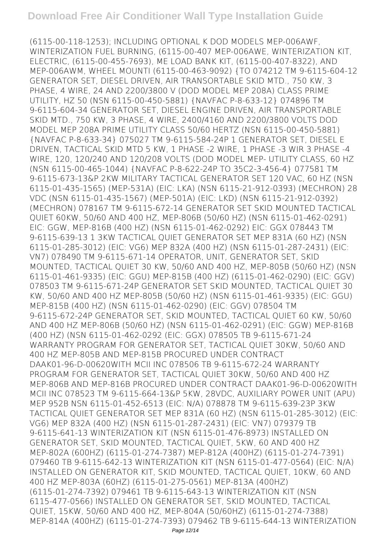(6115-00-118-1253); INCLUDING OPTIONAL K DOD MODELS MEP-006AWF, WINTERIZATION FUEL BURNING, (6115-00-407 MEP-006AWE, WINTERIZATION KIT, ELECTRIC, (6115-00-455-7693), ME LOAD BANK KIT, (6115-00-407-8322), AND MEP-006AWM, WHEEL MOUNTI (6115-00-463-9092) {TO 074212 TM 9-6115-604-12 GENERATOR SET, DIESEL DRIVEN, AIR TRANSORTABLE SKID MTD., 750 KW, 3 PHASE, 4 WIRE, 24 AND 2200/3800 V (DOD MODEL MEP 208A) CLASS PRIME UTILITY, HZ 50 (NSN 6115-00-450-5881) {NAVFAC P-8-633-12} 074896 TM 9-6115-604-34 GENERATOR SET, DIESEL ENGINE DRIVEN, AIR TRANSPORTABLE SKID MTD., 750 KW, 3 PHASE, 4 WIRE, 2400/4160 AND 2200/3800 VOLTS DOD MODEL MEP 208A PRIME UTILITY CLASS 50/60 HERTZ (NSN 6115-00-450-5881) {NAVFAC P-8-633-34} 075027 TM 9-6115-584-24P 1 GENERATOR SET, DIESEL E DRIVEN, TACTICAL SKID MTD 5 KW, 1 PHASE -2 WIRE, 1 PHASE -3 WIR 3 PHASE -4 WIRE, 120, 120/240 AND 120/208 VOLTS (DOD MODEL MEP- UTILITY CLASS, 60 HZ (NSN 6115-00-465-1044) {NAVFAC P-8-622-24P TO 35C2-3-456-4} 077581 TM 9-6115-673-13&P 2KW MILITARY TACTICAL GENERATOR SET 120 VAC, 60 HZ (NSN 6115-01-435-1565) (MEP-531A) (EIC: LKA) (NSN 6115-21-912-0393) (MECHRON) 28 VDC (NSN 6115-01-435-1567) (MEP-501A) (EIC: LKD) (NSN 6115-21-912-0392) (MECHRON) 078167 TM 9-6115-672-14 GENERATOR SET SKID MOUNTED TACTICAL QUIET 60KW, 50/60 AND 400 HZ, MEP-806B (50/60 HZ) (NSN 6115-01-462-0291) EIC: GGW, MEP-816B (400 HZ) (NSN 6115-01-462-0292) EIC: GGX 078443 TM 9-6115-639-13 1 3KW TACTICAL QUIET GENERATOR SET MEP 831A (60 HZ) (NSN 6115-01-285-3012) (EIC: VG6) MEP 832A (400 HZ) (NSN 6115-01-287-2431) (EIC: VN7) 078490 TM 9-6115-671-14 OPERATOR, UNIT, GENERATOR SET, SKID MOUNTED, TACTICAL QUIET 30 KW, 50/60 AND 400 HZ, MEP-805B (50/60 HZ) (NSN 6115-01-461-9335) (EIC: GGU) MEP-815B (400 HZ) (6115-01-462-0290) (EIC: GGV) 078503 TM 9-6115-671-24P GENERATOR SET SKID MOUNTED, TACTICAL QUIET 30 KW, 50/60 AND 400 HZ MEP-805B (50/60 HZ) (NSN 6115-01-461-9335) (EIC: GGU) MEP-815B (400 HZ) (NSN 6115-01-462-0290) (EIC: GGV) 078504 TM 9-6115-672-24P GENERATOR SET, SKID MOUNTED, TACTICAL QUIET 60 KW, 50/60 AND 400 HZ MEP-806B (50/60 HZ) (NSN 6115-01-462-0291) (EIC: GGW) MEP-816B (400 HZ) (NSN 6115-01-462-0292 (EIC: GGX) 078505 TB 9-6115-671-24 WARRANTY PROGRAM FOR GENERATOR SET, TACTICAL QUIET 30KW, 50/60 AND 400 HZ MEP-805B AND MEP-815B PROCURED UNDER CONTRACT DAAK01-96-D-00620WITH MCII INC 078506 TB 9-6115-672-24 WARRANTY PROGRAM FOR GENERATOR SET, TACTICAL QUIET 30KW, 50/60 AND 400 HZ MEP-806B AND MEP-816B PROCURED UNDER CONTRACT DAAK01-96-D-00620WITH MCII INC 078523 TM 9-6115-664-13&P 5KW, 28VDC, AUXILIARY POWER UNIT (APU) MEP 952B NSN 6115-01-452-6513 (EIC: N/A) 078878 TM 9-6115-639-23P 3KW TACTICAL QUIET GENERATOR SET MEP 831A (60 HZ) (NSN 6115-01-285-3012) (EIC: VG6) MEP 832A (400 HZ) (NSN 6115-01-287-2431) (EIC: VN7) 079379 TB 9-6115-641-13 WINTERIZATION KIT (NSN 6115-01-476-8973) INSTALLED ON GENERATOR SET, SKID MOUNTED, TACTICAL QUIET, 5KW, 60 AND 400 HZ MEP-802A (600HZ) (6115-01-274-7387) MEP-812A (400HZ) (6115-01-274-7391) 079460 TB 9-6115-642-13 WINTERIZATION KIT (NSN 6115-01-477-0564) (EIC: N/A) INSTALLED ON GENERATOR KIT, SKID MOUNTED, TACTICAL QUIET, 10KW, 60 AND 400 HZ MEP-803A (60HZ) (6115-01-275-0561) MEP-813A (400HZ) (6115-01-274-7392) 079461 TB 9-6115-643-13 WINTERIZATION KIT (NSN 6115-477-0566) INSTALLED ON GENERATOR SET, SKID MOUNTED, TACTICAL QUIET, 15KW, 50/60 AND 400 HZ, MEP-804A (50/60HZ) (6115-01-274-7388) MEP-814A (400HZ) (6115-01-274-7393) 079462 TB 9-6115-644-13 WINTERIZATION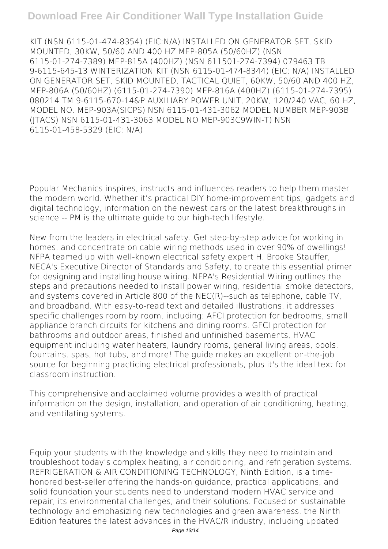## **Download Free Air Conditioner Wall Type Installation Guide**

KIT (NSN 6115-01-474-8354) (EIC:N/A) INSTALLED ON GENERATOR SET, SKID MOUNTED, 30KW, 50/60 AND 400 HZ MEP-805A (50/60HZ) (NSN 6115-01-274-7389) MEP-815A (400HZ) (NSN 611501-274-7394) 079463 TB 9-6115-645-13 WINTERIZATION KIT (NSN 6115-01-474-8344) (EIC: N/A) INSTALLED ON GENERATOR SET, SKID MOUNTED, TACTICAL QUIET, 60KW, 50/60 AND 400 HZ, MEP-806A (50/60HZ) (6115-01-274-7390) MEP-816A (400HZ) (6115-01-274-7395) 080214 TM 9-6115-670-14&P AUXILIARY POWER UNIT, 20KW, 120/240 VAC, 60 HZ, MODEL NO. MEP-903A(SICPS) NSN 6115-01-431-3062 MODEL NUMBER MEP-903B (JTACS) NSN 6115-01-431-3063 MODEL NO MEP-903C9WIN-T) NSN 6115-01-458-5329 (EIC: N/A)

Popular Mechanics inspires, instructs and influences readers to help them master the modern world. Whether it's practical DIY home-improvement tips, gadgets and digital technology, information on the newest cars or the latest breakthroughs in science -- PM is the ultimate guide to our high-tech lifestyle.

New from the leaders in electrical safety. Get step-by-step advice for working in homes, and concentrate on cable wiring methods used in over 90% of dwellings! NFPA teamed up with well-known electrical safety expert H. Brooke Stauffer, NECA's Executive Director of Standards and Safety, to create this essential primer for designing and installing house wiring. NFPA's Residential Wiring outlines the steps and precautions needed to install power wiring, residential smoke detectors, and systems covered in Article 800 of the NEC(R)--such as telephone, cable TV, and broadband. With easy-to-read text and detailed illustrations, it addresses specific challenges room by room, including: AFCI protection for bedrooms, small appliance branch circuits for kitchens and dining rooms, GFCI protection for bathrooms and outdoor areas, finished and unfinished basements, HVAC equipment including water heaters, laundry rooms, general living areas, pools, fountains, spas, hot tubs, and more! The guide makes an excellent on-the-job source for beginning practicing electrical professionals, plus it's the ideal text for classroom instruction.

This comprehensive and acclaimed volume provides a wealth of practical information on the design, installation, and operation of air conditioning, heating, and ventilating systems.

Equip your students with the knowledge and skills they need to maintain and troubleshoot today's complex heating, air conditioning, and refrigeration systems. REFRIGERATION & AIR CONDITIONING TECHNOLOGY, Ninth Edition, is a timehonored best-seller offering the hands-on guidance, practical applications, and solid foundation your students need to understand modern HVAC service and repair, its environmental challenges, and their solutions. Focused on sustainable technology and emphasizing new technologies and green awareness, the Ninth Edition features the latest advances in the HVAC/R industry, including updated